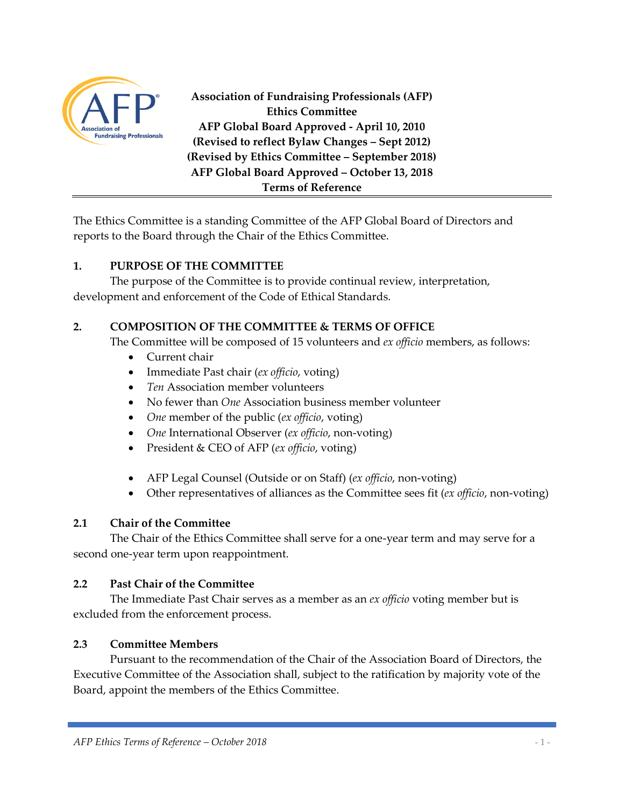

**Association of Fundraising Professionals (AFP) Ethics Committee AFP Global Board Approved - April 10, 2010 (Revised to reflect Bylaw Changes – Sept 2012) (Revised by Ethics Committee – September 2018) AFP Global Board Approved – October 13, 2018 Terms of Reference**

The Ethics Committee is a standing Committee of the AFP Global Board of Directors and reports to the Board through the Chair of the Ethics Committee.

# **1. PURPOSE OF THE COMMITTEE**

The purpose of the Committee is to provide continual review, interpretation, development and enforcement of the Code of Ethical Standards.

# **2. COMPOSITION OF THE COMMITTEE & TERMS OF OFFICE**

The Committee will be composed of 15 volunteers and *ex officio* members, as follows:

- Current chair
- Immediate Past chair (*ex officio*, voting)
- *Ten* Association member volunteers
- No fewer than *One* Association business member volunteer
- *One* member of the public (*ex officio*, voting)
- *One* International Observer (*ex officio*, non-voting)
- President & CEO of AFP (*ex officio*, voting)
- AFP Legal Counsel (Outside or on Staff) (*ex officio*, non-voting)
- Other representatives of alliances as the Committee sees fit (*ex officio*, non-voting)

### **2.1 Chair of the Committee**

The Chair of the Ethics Committee shall serve for a one-year term and may serve for a second one-year term upon reappointment.

### **2.2 Past Chair of the Committee**

The Immediate Past Chair serves as a member as an *ex officio* voting member but is excluded from the enforcement process.

### **2.3 Committee Members**

Pursuant to the recommendation of the Chair of the Association Board of Directors, the Executive Committee of the Association shall, subject to the ratification by majority vote of the Board, appoint the members of the Ethics Committee.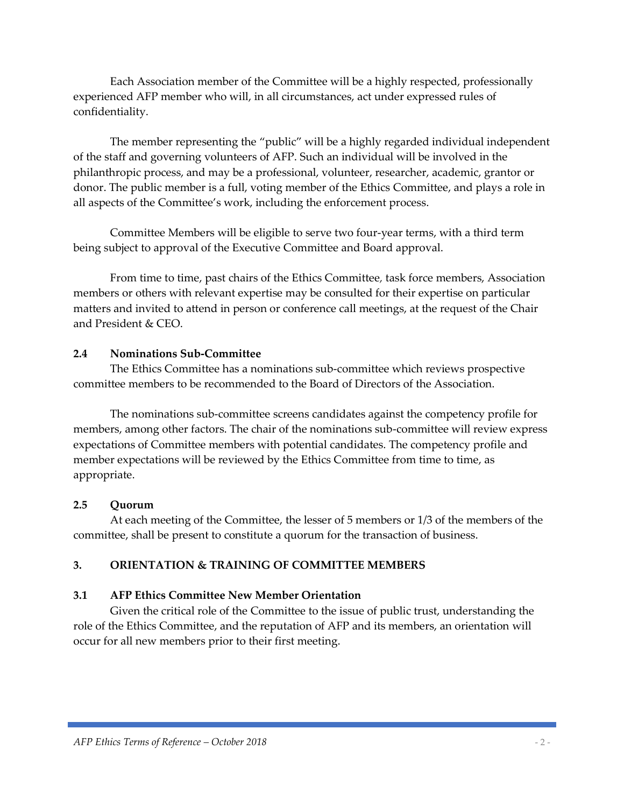Each Association member of the Committee will be a highly respected, professionally experienced AFP member who will, in all circumstances, act under expressed rules of confidentiality.

The member representing the "public" will be a highly regarded individual independent of the staff and governing volunteers of AFP. Such an individual will be involved in the philanthropic process, and may be a professional, volunteer, researcher, academic, grantor or donor. The public member is a full, voting member of the Ethics Committee, and plays a role in all aspects of the Committee's work, including the enforcement process.

Committee Members will be eligible to serve two four-year terms, with a third term being subject to approval of the Executive Committee and Board approval.

From time to time, past chairs of the Ethics Committee*,* task force members, Association members or others with relevant expertise may be consulted for their expertise on particular matters and invited to attend in person or conference call meetings, at the request of the Chair and President & CEO.

#### **2.4 Nominations Sub-Committee**

The Ethics Committee has a nominations sub-committee which reviews prospective committee members to be recommended to the Board of Directors of the Association.

The nominations sub-committee screens candidates against the competency profile for members, among other factors. The chair of the nominations sub-committee will review express expectations of Committee members with potential candidates. The competency profile and member expectations will be reviewed by the Ethics Committee from time to time, as appropriate.

### **2.5 Quorum**

At each meeting of the Committee, the lesser of 5 members or 1/3 of the members of the committee, shall be present to constitute a quorum for the transaction of business.

# **3. ORIENTATION & TRAINING OF COMMITTEE MEMBERS**

### **3.1 AFP Ethics Committee New Member Orientation**

Given the critical role of the Committee to the issue of public trust, understanding the role of the Ethics Committee, and the reputation of AFP and its members, an orientation will occur for all new members prior to their first meeting.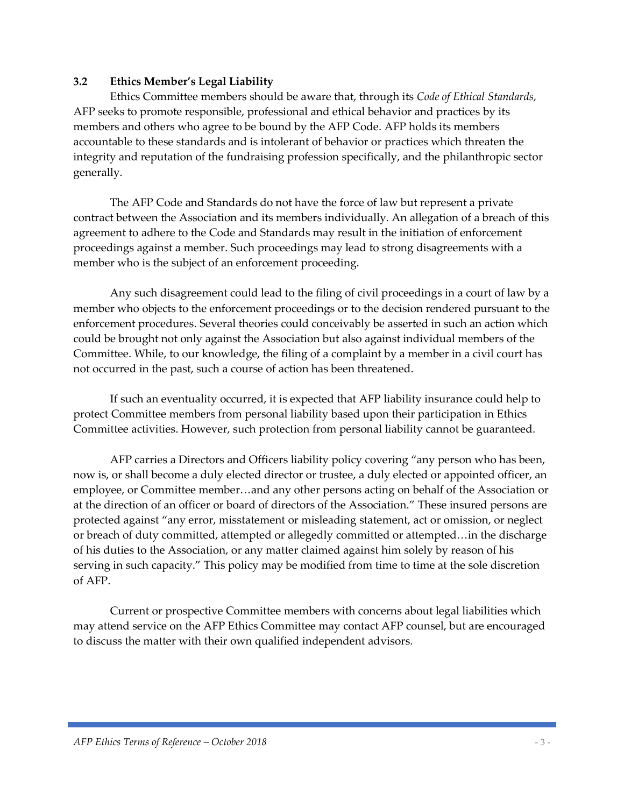#### **3.2 Ethics Member's Legal Liability**

Ethics Committee members should be aware that, through its *Code of Ethical Standards,*  AFP seeks to promote responsible, professional and ethical behavior and practices by its members and others who agree to be bound by the AFP Code. AFP holds its members accountable to these standards and is intolerant of behavior or practices which threaten the integrity and reputation of the fundraising profession specifically, and the philanthropic sector generally.

The AFP Code and Standards do not have the force of law but represent a private contract between the Association and its members individually. An allegation of a breach of this agreement to adhere to the Code and Standards may result in the initiation of enforcement proceedings against a member. Such proceedings may lead to strong disagreements with a member who is the subject of an enforcement proceeding.

Any such disagreement could lead to the filing of civil proceedings in a court of law by a member who objects to the enforcement proceedings or to the decision rendered pursuant to the enforcement procedures. Several theories could conceivably be asserted in such an action which could be brought not only against the Association but also against individual members of the Committee. While, to our knowledge, the filing of a complaint by a member in a civil court has not occurred in the past, such a course of action has been threatened.

If such an eventuality occurred, it is expected that AFP liability insurance could help to protect Committee members from personal liability based upon their participation in Ethics Committee activities. However, such protection from personal liability cannot be guaranteed.

AFP carries a Directors and Officers liability policy covering "any person who has been, now is, or shall become a duly elected director or trustee, a duly elected or appointed officer, an employee, or Committee member…and any other persons acting on behalf of the Association or at the direction of an officer or board of directors of the Association." These insured persons are protected against "any error, misstatement or misleading statement, act or omission, or neglect or breach of duty committed, attempted or allegedly committed or attempted…in the discharge of his duties to the Association, or any matter claimed against him solely by reason of his serving in such capacity." This policy may be modified from time to time at the sole discretion of AFP.

Current or prospective Committee members with concerns about legal liabilities which may attend service on the AFP Ethics Committee may contact AFP counsel, but are encouraged to discuss the matter with their own qualified independent advisors.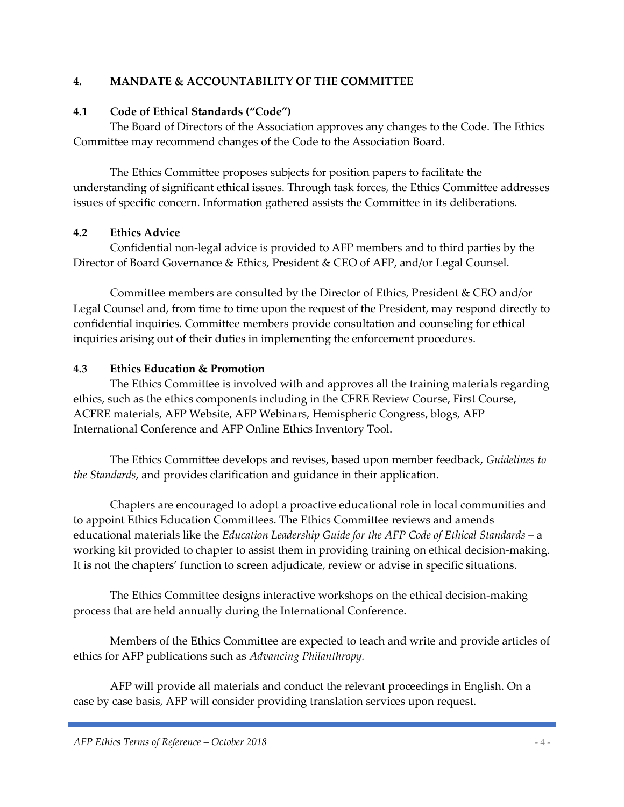# **4. MANDATE & ACCOUNTABILITY OF THE COMMITTEE**

### **4.1 Code of Ethical Standards ("Code")**

The Board of Directors of the Association approves any changes to the Code. The Ethics Committee may recommend changes of the Code to the Association Board.

The Ethics Committee proposes subjects for position papers to facilitate the understanding of significant ethical issues. Through task forces, the Ethics Committee addresses issues of specific concern. Information gathered assists the Committee in its deliberations.

# **4.2 Ethics Advice**

Confidential non-legal advice is provided to AFP members and to third parties by the Director of Board Governance & Ethics, President & CEO of AFP, and/or Legal Counsel.

Committee members are consulted by the Director of Ethics, President & CEO and/or Legal Counsel and, from time to time upon the request of the President, may respond directly to confidential inquiries. Committee members provide consultation and counseling for ethical inquiries arising out of their duties in implementing the enforcement procedures.

### **4.3 Ethics Education & Promotion**

The Ethics Committee is involved with and approves all the training materials regarding ethics, such as the ethics components including in the CFRE Review Course, First Course, ACFRE materials, AFP Website, AFP Webinars, Hemispheric Congress, blogs, AFP International Conference and AFP Online Ethics Inventory Tool.

The Ethics Committee develops and revises, based upon member feedback, *Guidelines to the Standards*, and provides clarification and guidance in their application.

Chapters are encouraged to adopt a proactive educational role in local communities and to appoint Ethics Education Committees. The Ethics Committee reviews and amends educational materials like the *Education Leadership Guide for the AFP Code of Ethical Standards –* a working kit provided to chapter to assist them in providing training on ethical decision-making. It is not the chapters' function to screen adjudicate, review or advise in specific situations.

The Ethics Committee designs interactive workshops on the ethical decision-making process that are held annually during the International Conference.

Members of the Ethics Committee are expected to teach and write and provide articles of ethics for AFP publications such as *Advancing Philanthropy.*

AFP will provide all materials and conduct the relevant proceedings in English. On a case by case basis, AFP will consider providing translation services upon request.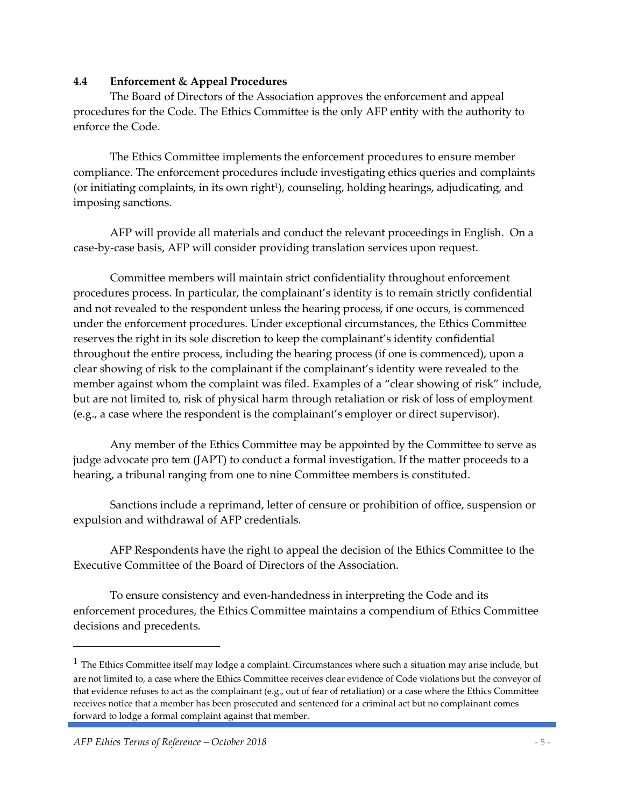#### **4.4 Enforcement & Appeal Procedures**

The Board of Directors of the Association approves the enforcement and appeal procedures for the Code. The Ethics Committee is the only AFP entity with the authority to enforce the Code.

The Ethics Committee implements the enforcement procedures to ensure member compliance. The enforcement procedures include investigating ethics queries and complaints (or initiating complaints, in its own right<sup>1</sup>), counseling, holding hearings, adjudicating, and imposing sanctions.

AFP will provide all materials and conduct the relevant proceedings in English. On a case-by-case basis, AFP will consider providing translation services upon request.

Committee members will maintain strict confidentiality throughout enforcement procedures process. In particular, the complainant's identity is to remain strictly confidential and not revealed to the respondent unless the hearing process, if one occurs, is commenced under the enforcement procedures. Under exceptional circumstances, the Ethics Committee reserves the right in its sole discretion to keep the complainant's identity confidential throughout the entire process, including the hearing process (if one is commenced), upon a clear showing of risk to the complainant if the complainant's identity were revealed to the member against whom the complaint was filed. Examples of a "clear showing of risk" include, but are not limited to, risk of physical harm through retaliation or risk of loss of employment (e.g., a case where the respondent is the complainant's employer or direct supervisor).

Any member of the Ethics Committee may be appointed by the Committee to serve as judge advocate pro tem (JAPT) to conduct a formal investigation. If the matter proceeds to a hearing, a tribunal ranging from one to nine Committee members is constituted.

Sanctions include a reprimand, letter of censure or prohibition of office, suspension or expulsion and withdrawal of AFP credentials.

AFP Respondents have the right to appeal the decision of the Ethics Committee to the Executive Committee of the Board of Directors of the Association.

To ensure consistency and even-handedness in interpreting the Code and its enforcement procedures, the Ethics Committee maintains a compendium of Ethics Committee decisions and precedents.

l

 $1$  The Ethics Committee itself may lodge a complaint. Circumstances where such a situation may arise include, but are not limited to, a case where the Ethics Committee receives clear evidence of Code violations but the conveyor of that evidence refuses to act as the complainant (e.g., out of fear of retaliation) or a case where the Ethics Committee receives notice that a member has been prosecuted and sentenced for a criminal act but no complainant comes forward to lodge a formal complaint against that member.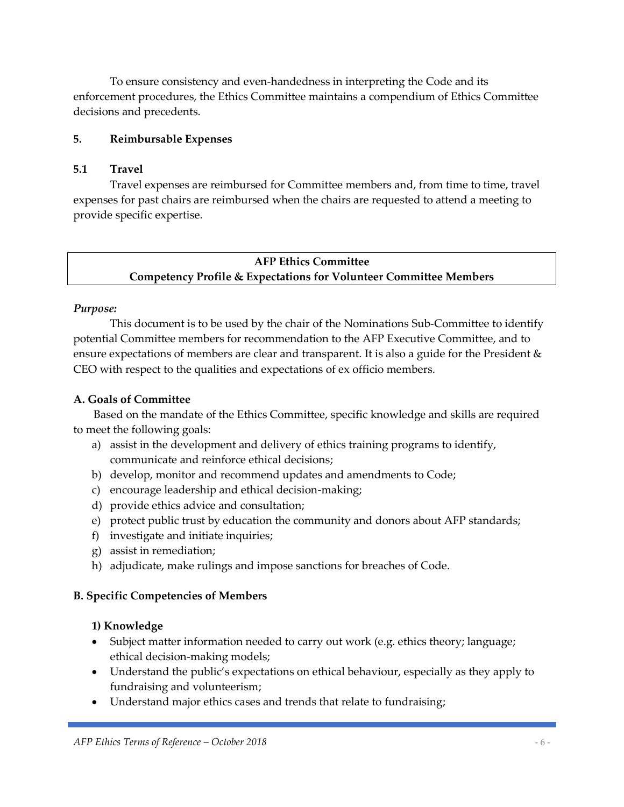To ensure consistency and even-handedness in interpreting the Code and its enforcement procedures, the Ethics Committee maintains a compendium of Ethics Committee decisions and precedents.

#### **5. Reimbursable Expenses**

#### **5.1 Travel**

Travel expenses are reimbursed for Committee members and, from time to time, travel expenses for past chairs are reimbursed when the chairs are requested to attend a meeting to provide specific expertise.

# **AFP Ethics Committee Competency Profile & Expectations for Volunteer Committee Members**

#### *Purpose:*

This document is to be used by the chair of the Nominations Sub-Committee to identify potential Committee members for recommendation to the AFP Executive Committee, and to ensure expectations of members are clear and transparent. It is also a guide for the President & CEO with respect to the qualities and expectations of ex officio members.

#### **A. Goals of Committee**

Based on the mandate of the Ethics Committee, specific knowledge and skills are required to meet the following goals:

- a) assist in the development and delivery of ethics training programs to identify, communicate and reinforce ethical decisions;
- b) develop, monitor and recommend updates and amendments to Code;
- c) encourage leadership and ethical decision-making;
- d) provide ethics advice and consultation;
- e) protect public trust by education the community and donors about AFP standards;
- f) investigate and initiate inquiries;
- g) assist in remediation;
- h) adjudicate, make rulings and impose sanctions for breaches of Code.

#### **B. Specific Competencies of Members**

#### **1) Knowledge**

- Subject matter information needed to carry out work (e.g. ethics theory; language; ethical decision-making models;
- Understand the public's expectations on ethical behaviour, especially as they apply to fundraising and volunteerism;
- Understand major ethics cases and trends that relate to fundraising;